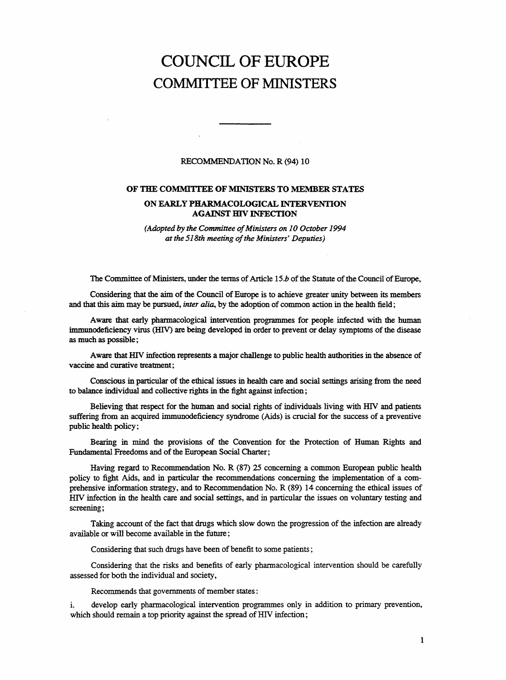## COUNCIL OF EUROPE COMMITTEE OF MINISTERS

## RECOMMENDATION No. R (94) 10

## OF THE COMMITTEE OF MINISTERS TO MEMBER STATES

## ON EARLY PHARMACOLOGICAL INTERVENTION AGAINST HIV INFECTION

(Adopted by the Committee of Ministers on 10 October 1994 at the 518th meeting of the Ministers' Deputies)

The Committee of Ministers, under the terms of Article 15.b of the Statute of the Council of Europe,

Considering that the aim of the Council of Europe is to achieve greater unity between its members and that this aim may be pursued, inter alia, by the adoption of common action in the health field;

Aware that early pharmacological intervention programmes for people infected with the human immunodeficiency virus (HIV) are being developed in order to prevent or delay symptoms of the disease as much as possible;

Aware that HIV infection represents a major challenge to public health authorities in the absence of vaccine and curative treatment;

Conscious in particular of the ethical issues in health care and social settings arising from the need to balance individual and collective rights in the fight against infection;

Believing that respect for the human and social rights of individuals living with HIV and patients suffering from an acquired immunodeficiency syndrome (Aids) is crucial for the success of a preventive public health policy;

Bearing in mind the provisions of the Convention for the Protection of Human Rights and Fundamental Freedoms and of the European Social Charter;

Having regard to Recommendation No. R (87) 25 concerning a common European public health policy to fight Aids, and in particular the recommendations concerning the implementation of a comprehensive information strategy, and to Recommendation No. R (89) 14 concerning the ethical issues of HIV infection in the health care and social settings, and in particular the issues on voluntary testing and screening;

Taking account of the fact that drugs which slow down the progression of the infection are already available or will become available in the future;

Considering that such drugs have been of benefit to some patients;

Considering that the risks and benefits of early pharmacological intervention should be carefully assessed for both the individual and society,

Recommends that governments of member states:

i. develop early pharmacological intervention programmes only in addition to primary prevention, which should remain a top priority against the spread of HIV infection;